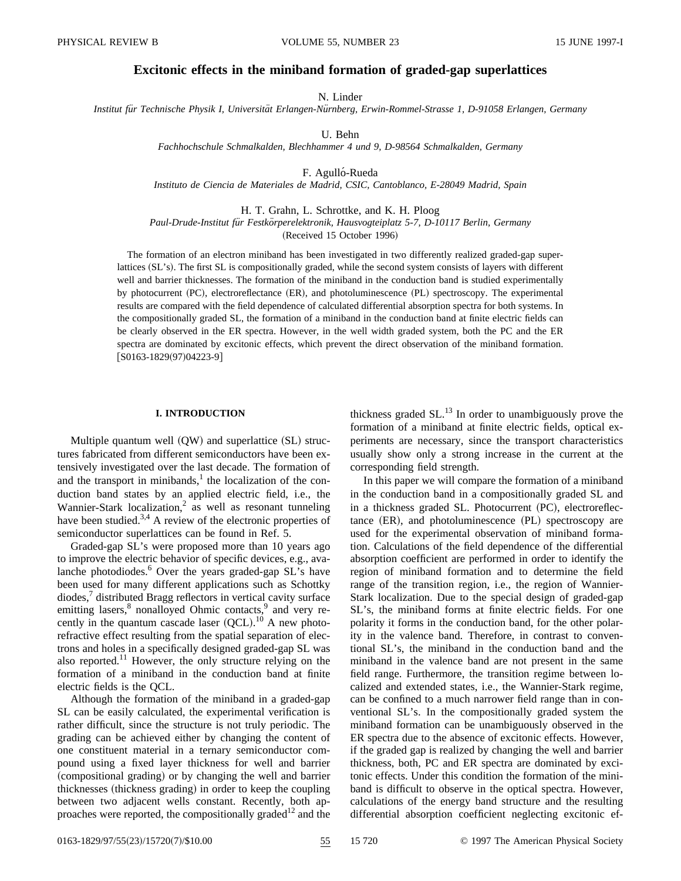# **Excitonic effects in the miniband formation of graded-gap superlattices**

N. Linder

*Institut fu¨r Technische Physik I, Universita¨t Erlangen-Nu¨rnberg, Erwin-Rommel-Strasse 1, D-91058 Erlangen, Germany*

U. Behn

*Fachhochschule Schmalkalden, Blechhammer 4 und 9, D-98564 Schmalkalden, Germany*

F. Agulló-Rueda

*Instituto de Ciencia de Materiales de Madrid, CSIC, Cantoblanco, E-28049 Madrid, Spain*

H. T. Grahn, L. Schrottke, and K. H. Ploog

*Paul-Drude-Institut fu¨r Festko¨rperelektronik, Hausvogteiplatz 5-7, D-10117 Berlin, Germany*

(Received 15 October 1996)

The formation of an electron miniband has been investigated in two differently realized graded-gap superlattices (SL's). The first SL is compositionally graded, while the second system consists of layers with different well and barrier thicknesses. The formation of the miniband in the conduction band is studied experimentally by photocurrent (PC), electroreflectance (ER), and photoluminescence (PL) spectroscopy. The experimental results are compared with the field dependence of calculated differential absorption spectra for both systems. In the compositionally graded SL, the formation of a miniband in the conduction band at finite electric fields can be clearly observed in the ER spectra. However, in the well width graded system, both the PC and the ER spectra are dominated by excitonic effects, which prevent the direct observation of the miniband formation.  $[$ S0163-1829(97)04223-9]

#### **I. INTRODUCTION**

Multiple quantum well  $(QW)$  and superlattice  $(SL)$  structures fabricated from different semiconductors have been extensively investigated over the last decade. The formation of and the transport in minibands, $<sup>1</sup>$  the localization of the con-</sup> duction band states by an applied electric field, i.e., the Wannier-Stark localization, $2$  as well as resonant tunneling have been studied. $3,4$  A review of the electronic properties of semiconductor superlattices can be found in Ref. 5.

Graded-gap SL's were proposed more than 10 years ago to improve the electric behavior of specific devices, e.g., avalanche photodiodes.<sup>6</sup> Over the years graded-gap SL's have been used for many different applications such as Schottky  $diodes$ , distributed Bragg reflectors in vertical cavity surface emitting lasers,<sup>8</sup> nonalloyed Ohmic contacts,<sup>9</sup> and very recently in the quantum cascade laser  $(QCL)$ .<sup>10</sup> A new photorefractive effect resulting from the spatial separation of electrons and holes in a specifically designed graded-gap SL was also reported.<sup>11</sup> However, the only structure relying on the formation of a miniband in the conduction band at finite electric fields is the QCL.

Although the formation of the miniband in a graded-gap SL can be easily calculated, the experimental verification is rather difficult, since the structure is not truly periodic. The grading can be achieved either by changing the content of one constituent material in a ternary semiconductor compound using a fixed layer thickness for well and barrier (compositional grading) or by changing the well and barrier thicknesses (thickness grading) in order to keep the coupling between two adjacent wells constant. Recently, both approaches were reported, the compositionally graded<sup>12</sup> and the

thickness graded  $SL<sup>13</sup>$  In order to unambiguously prove the formation of a miniband at finite electric fields, optical experiments are necessary, since the transport characteristics usually show only a strong increase in the current at the corresponding field strength.

In this paper we will compare the formation of a miniband in the conduction band in a compositionally graded SL and in a thickness graded SL. Photocurrent (PC), electroreflec $t$ ance  $(ER)$ , and photoluminescence  $(PL)$  spectroscopy are used for the experimental observation of miniband formation. Calculations of the field dependence of the differential absorption coefficient are performed in order to identify the region of miniband formation and to determine the field range of the transition region, i.e., the region of Wannier-Stark localization. Due to the special design of graded-gap SL's, the miniband forms at finite electric fields. For one polarity it forms in the conduction band, for the other polarity in the valence band. Therefore, in contrast to conventional SL's, the miniband in the conduction band and the miniband in the valence band are not present in the same field range. Furthermore, the transition regime between localized and extended states, i.e., the Wannier-Stark regime, can be confined to a much narrower field range than in conventional SL's. In the compositionally graded system the miniband formation can be unambiguously observed in the ER spectra due to the absence of excitonic effects. However, if the graded gap is realized by changing the well and barrier thickness, both, PC and ER spectra are dominated by excitonic effects. Under this condition the formation of the miniband is difficult to observe in the optical spectra. However, calculations of the energy band structure and the resulting differential absorption coefficient neglecting excitonic ef-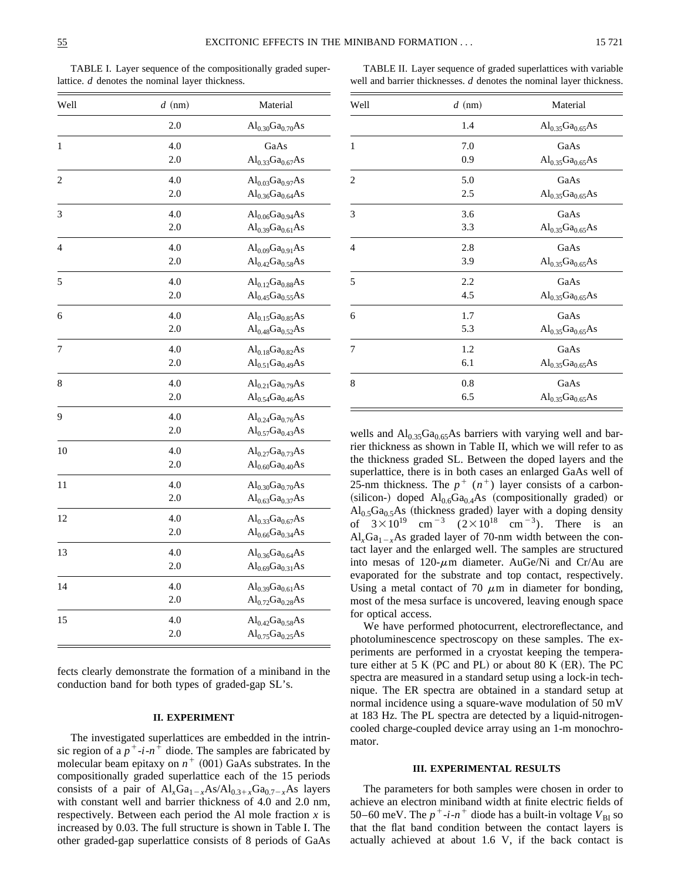TABLE I. Layer sequence of the compositionally graded superlattice. *d* denotes the nominal layer thickness.

| Well | $d$ (nm) | Material                                    |
|------|----------|---------------------------------------------|
|      | 2.0      | $Al_{0.30}Ga_{0.70}As$                      |
| 1    | 4.0      | GaAs                                        |
|      | 2.0      | $Al_{0.33}Ga_{0.67}As$                      |
| 2    | 4.0      | $Al_{0.03}Ga_{0.97}As$                      |
|      | 2.0      | $Al_{0.36}Ga_{0.64}As$                      |
| 3    | 4.0      | $Al_{0.06}Ga_{0.94}As$                      |
|      | 2.0      | $Al_{0.39}Ga_{0.61}As$                      |
| 4    | 4.0      | $Al_{0.09}Ga_{0.91}As$                      |
|      | 2.0      | $Al_{0.42}Ga_{0.58}As$                      |
| 5    | 4.0      | $Al_{0.12}Ga_{0.88}As$                      |
|      | 2.0      | $\text{Al}_{0.45}\text{Ga}_{0.55}\text{As}$ |
| 6    | 4.0      | $Al_{0.15}Ga_{0.85}As$                      |
|      | 2.0      | $Al_{0.48}Ga_{0.52}As$                      |
| 7    | 4.0      | $Al_{0.18}Ga_{0.82}As$                      |
|      | 2.0      | $Al_{0.51}Ga_{0.49}As$                      |
| 8    | 4.0      | $Al_{0.21}Ga_{0.79}As$                      |
|      | 2.0      | $Al_{0.54}Ga_{0.46}As$                      |
| 9    | 4.0      | $Al_{0.24}Ga_{0.76}As$                      |
|      | 2.0      | $Al_{0.57}Ga_{0.43}As$                      |
| 10   | 4.0      | $Al_{0.27}Ga_{0.73}As$                      |
|      | 2.0      | $\text{Al}_{0.60}\text{Ga}_{0.40}\text{As}$ |
| 11   | 4.0      | $Al_{0.30}Ga_{0.70}As$                      |
|      | 2.0      | $Al_{0.63}Ga_{0.37}As$                      |
| 12   | 4.0      | $Al_{0.33}Ga_{0.67}As$                      |
|      | 2.0      | $Al_{0.66}Ga_{0.34}As$                      |
| 13   | 4.0      | $Al_{0.36}Ga_{0.64}As$                      |
|      | 2.0      | $Al_{0.69}Ga_{0.31}As$                      |
| 14   | 4.0      | $\text{Al}_{0.39}\text{Ga}_{0.61}\text{As}$ |
|      | 2.0      | $Al_{0.72}Ga_{0.28}As$                      |
| 15   | 4.0      | $Al_{0.42}Ga_{0.58}As$                      |
|      | 2.0      | $Al_{0.75}Ga_{0.25}As$                      |
|      |          |                                             |

fects clearly demonstrate the formation of a miniband in the conduction band for both types of graded-gap SL's.

# **II. EXPERIMENT**

The investigated superlattices are embedded in the intrinsic region of a  $p^+$ -*i*- $n^+$  diode. The samples are fabricated by molecular beam epitaxy on  $n^{+}$  (001) GaAs substrates. In the compositionally graded superlattice each of the 15 periods consists of a pair of  $Al_xGa_{1-x}As/Al_{0.3+x}Ga_{0.7-x}As$  layers with constant well and barrier thickness of 4.0 and 2.0 nm, respectively. Between each period the Al mole fraction *x* is increased by 0.03. The full structure is shown in Table I. The other graded-gap superlattice consists of 8 periods of GaAs

| Well           | $d$ (nm) | Material               |
|----------------|----------|------------------------|
|                | 1.4      | $Al_{0.35}Ga_{0.65}As$ |
| 1              | 7.0      | GaAs                   |
|                | 0.9      | $Al_{0.35}Ga_{0.65}As$ |
| $\overline{c}$ | 5.0      | GaAs                   |
|                | 2.5      | $Al_{0.35}Ga_{0.65}As$ |
| 3              | 3.6      | GaAs                   |
|                | 3.3      | $Al_{0.35}Ga_{0.65}As$ |
| $\overline{4}$ | 2.8      | GaAs                   |
|                | 3.9      | $Al_{0.35}Ga_{0.65}As$ |
| 5              | 2.2      | GaAs                   |
|                | 4.5      | $Al_{0.35}Ga_{0.65}As$ |
| 6              | 1.7      | GaAs                   |
|                | 5.3      | $Al_{0.35}Ga_{0.65}As$ |
| 7              | 1.2      | GaAs                   |
|                | 6.1      | $Al_{0.35}Ga_{0.65}As$ |
| 8              | 0.8      | GaAs                   |
|                | 6.5      | $Al_{0.35}Ga_{0.65}As$ |

TABLE II. Layer sequence of graded superlattices with variable well and barrier thicknesses. *d* denotes the nominal layer thickness.

wells and  $Al<sub>0.35</sub>Ga<sub>0.65</sub>As barriers with varying well and bar$ rier thickness as shown in Table II, which we will refer to as the thickness graded SL. Between the doped layers and the superlattice, there is in both cases an enlarged GaAs well of 25-nm thickness. The  $p^+(n^+)$  layer consists of a carbon-(silicon-) doped  $Al_{0.6}Ga_{0.4}As$  (compositionally graded) or  $Al_{0.5}Ga_{0.5}As$  (thickness graded) layer with a doping density of  $3 \times 10^{19}$  cm<sup>-3</sup>  $(2 \times 10^{18}$  cm<sup>-3</sup>). There is an  $Al_xGa_{1-x}As$  graded layer of 70-nm width between the contact layer and the enlarged well. The samples are structured into mesas of 120- $\mu$ m diameter. AuGe/Ni and Cr/Au are evaporated for the substrate and top contact, respectively. Using a metal contact of 70  $\mu$ m in diameter for bonding, most of the mesa surface is uncovered, leaving enough space for optical access.

We have performed photocurrent, electroreflectance, and photoluminescence spectroscopy on these samples. The experiments are performed in a cryostat keeping the temperature either at  $5 K (PC and PL)$  or about 80 K  $(ER)$ . The PC spectra are measured in a standard setup using a lock-in technique. The ER spectra are obtained in a standard setup at normal incidence using a square-wave modulation of 50 mV at 183 Hz. The PL spectra are detected by a liquid-nitrogencooled charge-coupled device array using an 1-m monochromator.

# **III. EXPERIMENTAL RESULTS**

The parameters for both samples were chosen in order to achieve an electron miniband width at finite electric fields of 50–60 meV. The  $p^+$ -*i*- $n^+$  diode has a built-in voltage  $V_{\text{BI}}$  so that the flat band condition between the contact layers is actually achieved at about 1.6 V, if the back contact is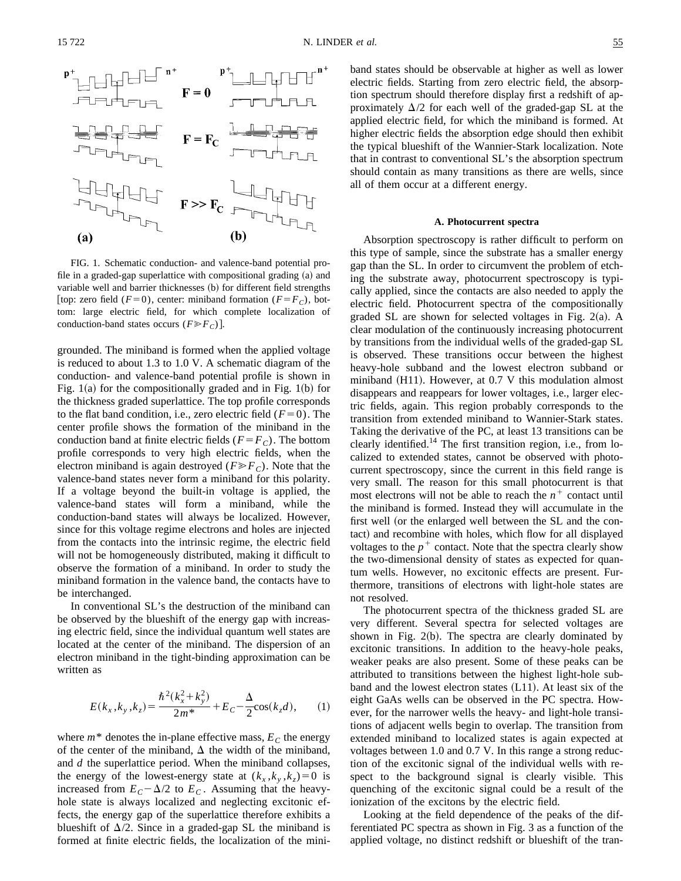

FIG. 1. Schematic conduction- and valence-band potential profile in a graded-gap superlattice with compositional grading  $(a)$  and variable well and barrier thicknesses (b) for different field strengths [top: zero field ( $F=0$ ), center: miniband formation ( $F=F_C$ ), bottom: large electric field, for which complete localization of conduction-band states occurs  $(F \gg F_C)$ .

grounded. The miniband is formed when the applied voltage is reduced to about 1.3 to 1.0 V. A schematic diagram of the conduction- and valence-band potential profile is shown in Fig. 1(a) for the compositionally graded and in Fig. 1(b) for the thickness graded superlattice. The top profile corresponds to the flat band condition, i.e., zero electric field  $(F=0)$ . The center profile shows the formation of the miniband in the conduction band at finite electric fields ( $F = F_C$ ). The bottom profile corresponds to very high electric fields, when the electron miniband is again destroyed ( $F \geq F_C$ ). Note that the valence-band states never form a miniband for this polarity. If a voltage beyond the built-in voltage is applied, the valence-band states will form a miniband, while the conduction-band states will always be localized. However, since for this voltage regime electrons and holes are injected from the contacts into the intrinsic regime, the electric field will not be homogeneously distributed, making it difficult to observe the formation of a miniband. In order to study the miniband formation in the valence band, the contacts have to be interchanged.

In conventional SL's the destruction of the miniband can be observed by the blueshift of the energy gap with increasing electric field, since the individual quantum well states are located at the center of the miniband. The dispersion of an electron miniband in the tight-binding approximation can be written as

$$
E(k_x, k_y, k_z) = \frac{\hbar^2(k_x^2 + k_y^2)}{2m^*} + E_C - \frac{\Delta}{2}\cos(k_z d), \quad (1)
$$

where  $m^*$  denotes the in-plane effective mass,  $E_C$  the energy of the center of the miniband,  $\Delta$  the width of the miniband, and *d* the superlattice period. When the miniband collapses, the energy of the lowest-energy state at  $(k_x, k_y, k_z) = 0$  is increased from  $E_C - \Delta/2$  to  $E_C$ . Assuming that the heavyhole state is always localized and neglecting excitonic effects, the energy gap of the superlattice therefore exhibits a blueshift of  $\Delta/2$ . Since in a graded-gap SL the miniband is formed at finite electric fields, the localization of the miniband states should be observable at higher as well as lower electric fields. Starting from zero electric field, the absorption spectrum should therefore display first a redshift of approximately  $\Delta/2$  for each well of the graded-gap SL at the applied electric field, for which the miniband is formed. At higher electric fields the absorption edge should then exhibit the typical blueshift of the Wannier-Stark localization. Note that in contrast to conventional SL's the absorption spectrum should contain as many transitions as there are wells, since all of them occur at a different energy.

#### **A. Photocurrent spectra**

Absorption spectroscopy is rather difficult to perform on this type of sample, since the substrate has a smaller energy gap than the SL. In order to circumvent the problem of etching the substrate away, photocurrent spectroscopy is typically applied, since the contacts are also needed to apply the electric field. Photocurrent spectra of the compositionally graded SL are shown for selected voltages in Fig.  $2(a)$ . A clear modulation of the continuously increasing photocurrent by transitions from the individual wells of the graded-gap SL is observed. These transitions occur between the highest heavy-hole subband and the lowest electron subband or miniband  $(H11)$ . However, at 0.7 V this modulation almost disappears and reappears for lower voltages, i.e., larger electric fields, again. This region probably corresponds to the transition from extended miniband to Wannier-Stark states. Taking the derivative of the PC, at least 13 transitions can be clearly identified.<sup>14</sup> The first transition region, i.e., from localized to extended states, cannot be observed with photocurrent spectroscopy, since the current in this field range is very small. The reason for this small photocurrent is that most electrons will not be able to reach the  $n^+$  contact until the miniband is formed. Instead they will accumulate in the first well (or the enlarged well between the SL and the contact) and recombine with holes, which flow for all displayed voltages to the  $p^+$  contact. Note that the spectra clearly show the two-dimensional density of states as expected for quantum wells. However, no excitonic effects are present. Furthermore, transitions of electrons with light-hole states are not resolved.

The photocurrent spectra of the thickness graded SL are very different. Several spectra for selected voltages are shown in Fig.  $2(b)$ . The spectra are clearly dominated by excitonic transitions. In addition to the heavy-hole peaks, weaker peaks are also present. Some of these peaks can be attributed to transitions between the highest light-hole subband and the lowest electron states  $(L11)$ . At least six of the eight GaAs wells can be observed in the PC spectra. However, for the narrower wells the heavy- and light-hole transitions of adjacent wells begin to overlap. The transition from extended miniband to localized states is again expected at voltages between 1.0 and 0.7 V. In this range a strong reduction of the excitonic signal of the individual wells with respect to the background signal is clearly visible. This quenching of the excitonic signal could be a result of the ionization of the excitons by the electric field.

Looking at the field dependence of the peaks of the differentiated PC spectra as shown in Fig. 3 as a function of the applied voltage, no distinct redshift or blueshift of the tran-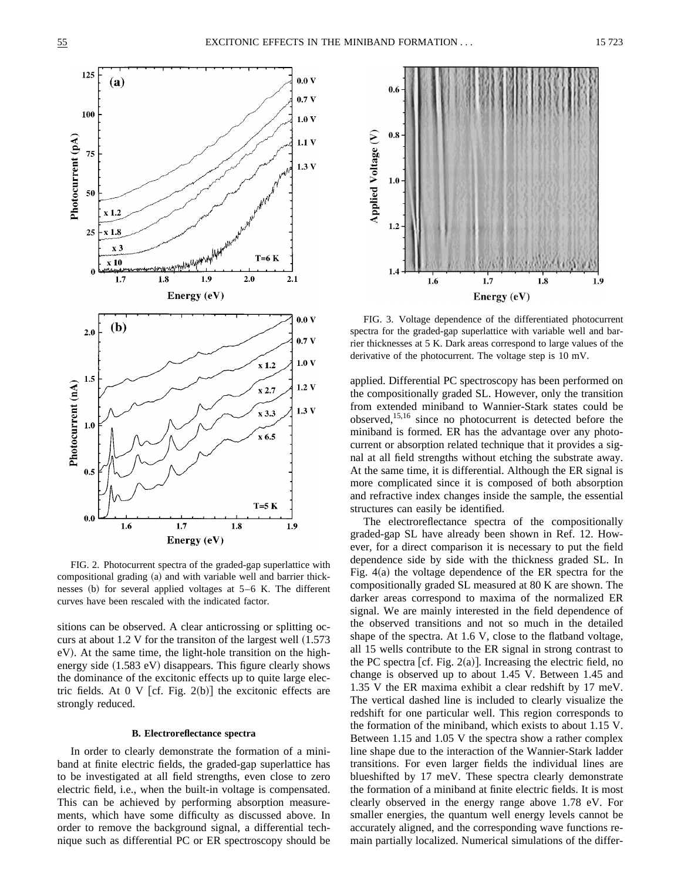

FIG. 2. Photocurrent spectra of the graded-gap superlattice with compositional grading (a) and with variable well and barrier thicknesses (b) for several applied voltages at  $5-6$  K. The different curves have been rescaled with the indicated factor.

sitions can be observed. A clear anticrossing or splitting occurs at about  $1.2$  V for the transiton of the largest well  $(1.573)$ eV). At the same time, the light-hole transition on the highenergy side  $(1.583 \text{ eV})$  disappears. This figure clearly shows the dominance of the excitonic effects up to quite large electric fields. At  $0 \text{ V}$  [cf. Fig. 2(b)] the excitonic effects are strongly reduced.

### **B. Electroreflectance spectra**

In order to clearly demonstrate the formation of a miniband at finite electric fields, the graded-gap superlattice has to be investigated at all field strengths, even close to zero electric field, i.e., when the built-in voltage is compensated. This can be achieved by performing absorption measurements, which have some difficulty as discussed above. In order to remove the background signal, a differential technique such as differential PC or ER spectroscopy should be



FIG. 3. Voltage dependence of the differentiated photocurrent spectra for the graded-gap superlattice with variable well and barrier thicknesses at 5 K. Dark areas correspond to large values of the derivative of the photocurrent. The voltage step is 10 mV.

applied. Differential PC spectroscopy has been performed on the compositionally graded SL. However, only the transition from extended miniband to Wannier-Stark states could be observed,15,16 since no photocurrent is detected before the miniband is formed. ER has the advantage over any photocurrent or absorption related technique that it provides a signal at all field strengths without etching the substrate away. At the same time, it is differential. Although the ER signal is more complicated since it is composed of both absorption and refractive index changes inside the sample, the essential structures can easily be identified.

The electroreflectance spectra of the compositionally graded-gap SL have already been shown in Ref. 12. However, for a direct comparison it is necessary to put the field dependence side by side with the thickness graded SL. In Fig.  $4(a)$  the voltage dependence of the ER spectra for the compositionally graded SL measured at 80 K are shown. The darker areas correspond to maxima of the normalized ER signal. We are mainly interested in the field dependence of the observed transitions and not so much in the detailed shape of the spectra. At 1.6 V, close to the flatband voltage, all 15 wells contribute to the ER signal in strong contrast to the PC spectra [cf. Fig. 2(a)]. Increasing the electric field, no change is observed up to about 1.45 V. Between 1.45 and 1.35 V the ER maxima exhibit a clear redshift by 17 meV. The vertical dashed line is included to clearly visualize the redshift for one particular well. This region corresponds to the formation of the miniband, which exists to about 1.15 V. Between 1.15 and 1.05 V the spectra show a rather complex line shape due to the interaction of the Wannier-Stark ladder transitions. For even larger fields the individual lines are blueshifted by 17 meV. These spectra clearly demonstrate the formation of a miniband at finite electric fields. It is most clearly observed in the energy range above 1.78 eV. For smaller energies, the quantum well energy levels cannot be accurately aligned, and the corresponding wave functions remain partially localized. Numerical simulations of the differ-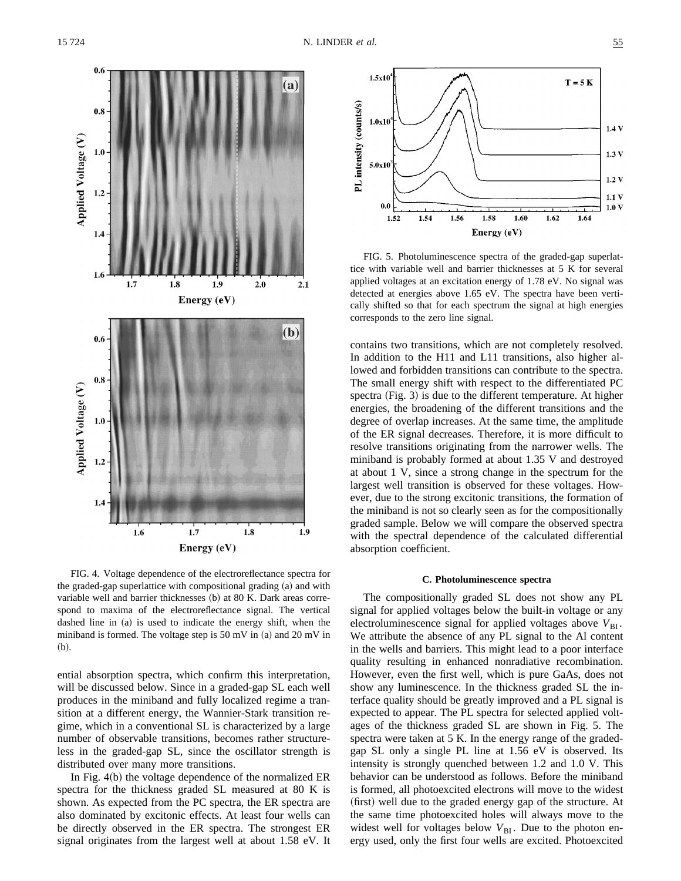

FIG. 4. Voltage dependence of the electroreflectance spectra for the graded-gap superlattice with compositional grading (a) and with variable well and barrier thicknesses (b) at 80 K. Dark areas correspond to maxima of the electroreflectance signal. The vertical dashed line in  $(a)$  is used to indicate the energy shift, when the miniband is formed. The voltage step is 50 mV in (a) and 20 mV in (b).

ential absorption spectra, which confirm this interpretation, will be discussed below. Since in a graded-gap SL each well produces in the miniband and fully localized regime a transition at a different energy, the Wannier-Stark transition regime, which in a conventional SL is characterized by a large number of observable transitions, becomes rather structureless in the graded-gap SL, since the oscillator strength is distributed over many more transitions.

In Fig.  $4(b)$  the voltage dependence of the normalized ER spectra for the thickness graded SL measured at 80 K is shown. As expected from the PC spectra, the ER spectra are also dominated by excitonic effects. At least four wells can be directly observed in the ER spectra. The strongest ER signal originates from the largest well at about 1.58 eV. It

![](_page_4_Figure_7.jpeg)

FIG. 5. Photoluminescence spectra of the graded-gap superlattice with variable well and barrier thicknesses at 5 K for several applied voltages at an excitation energy of 1.78 eV. No signal was detected at energies above 1.65 eV. The spectra have been vertically shifted so that for each spectrum the signal at high energies corresponds to the zero line signal.

contains two transitions, which are not completely resolved. In addition to the H11 and L11 transitions, also higher allowed and forbidden transitions can contribute to the spectra. The small energy shift with respect to the differentiated PC spectra  $(Fig. 3)$  is due to the different temperature. At higher energies, the broadening of the different transitions and the degree of overlap increases. At the same time, the amplitude of the ER signal decreases. Therefore, it is more difficult to resolve transitions originating from the narrower wells. The miniband is probably formed at about 1.35 V and destroyed at about 1 V, since a strong change in the spectrum for the largest well transition is observed for these voltages. However, due to the strong excitonic transitions, the formation of the miniband is not so clearly seen as for the compositionally graded sample. Below we will compare the observed spectra with the spectral dependence of the calculated differential absorption coefficient.

#### **C. Photoluminescence spectra**

The compositionally graded SL does not show any PL signal for applied voltages below the built-in voltage or any electroluminescence signal for applied voltages above  $V_{\text{BI}}$ . We attribute the absence of any PL signal to the Al content in the wells and barriers. This might lead to a poor interface quality resulting in enhanced nonradiative recombination. However, even the first well, which is pure GaAs, does not show any luminescence. In the thickness graded SL the interface quality should be greatly improved and a PL signal is expected to appear. The PL spectra for selected applied voltages of the thickness graded SL are shown in Fig. 5. The spectra were taken at 5 K. In the energy range of the gradedgap SL only a single PL line at 1.56 eV is observed. Its intensity is strongly quenched between 1.2 and 1.0 V. This behavior can be understood as follows. Before the miniband is formed, all photoexcited electrons will move to the widest (first) well due to the graded energy gap of the structure. At the same time photoexcited holes will always move to the widest well for voltages below  $V_{\text{BI}}$ . Due to the photon energy used, only the first four wells are excited. Photoexcited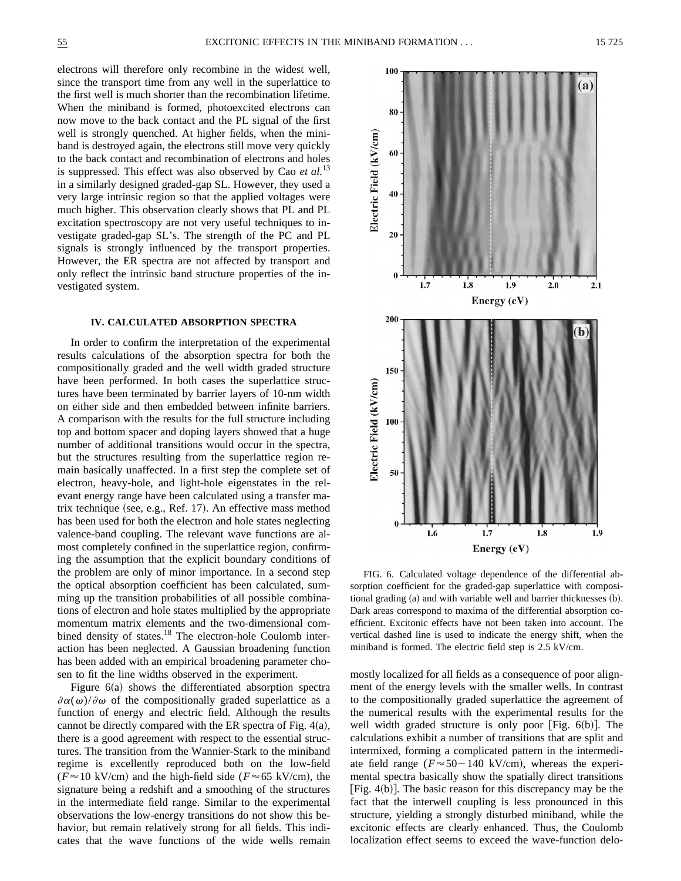electrons will therefore only recombine in the widest well, since the transport time from any well in the superlattice to the first well is much shorter than the recombination lifetime. When the miniband is formed, photoexcited electrons can now move to the back contact and the PL signal of the first well is strongly quenched. At higher fields, when the miniband is destroyed again, the electrons still move very quickly to the back contact and recombination of electrons and holes is suppressed. This effect was also observed by Cao *et al.*<sup>13</sup> in a similarly designed graded-gap SL. However, they used a very large intrinsic region so that the applied voltages were much higher. This observation clearly shows that PL and PL excitation spectroscopy are not very useful techniques to investigate graded-gap SL's. The strength of the PC and PL signals is strongly influenced by the transport properties. However, the ER spectra are not affected by transport and only reflect the intrinsic band structure properties of the investigated system.

### **IV. CALCULATED ABSORPTION SPECTRA**

In order to confirm the interpretation of the experimental results calculations of the absorption spectra for both the compositionally graded and the well width graded structure have been performed. In both cases the superlattice structures have been terminated by barrier layers of 10-nm width on either side and then embedded between infinite barriers. A comparison with the results for the full structure including top and bottom spacer and doping layers showed that a huge number of additional transitions would occur in the spectra, but the structures resulting from the superlattice region remain basically unaffected. In a first step the complete set of electron, heavy-hole, and light-hole eigenstates in the relevant energy range have been calculated using a transfer matrix technique (see, e.g., Ref. 17). An effective mass method has been used for both the electron and hole states neglecting valence-band coupling. The relevant wave functions are almost completely confined in the superlattice region, confirming the assumption that the explicit boundary conditions of the problem are only of minor importance. In a second step the optical absorption coefficient has been calculated, summing up the transition probabilities of all possible combinations of electron and hole states multiplied by the appropriate momentum matrix elements and the two-dimensional combined density of states.<sup>18</sup> The electron-hole Coulomb interaction has been neglected. A Gaussian broadening function has been added with an empirical broadening parameter chosen to fit the line widths observed in the experiment.

Figure  $6(a)$  shows the differentiated absorption spectra  $\partial \alpha(\omega)/\partial \omega$  of the compositionally graded superlattice as a function of energy and electric field. Although the results cannot be directly compared with the ER spectra of Fig.  $4(a)$ , there is a good agreement with respect to the essential structures. The transition from the Wannier-Stark to the miniband regime is excellently reproduced both on the low-field  $(F \approx 10 \text{ kV/cm})$  and the high-field side ( $F \approx 65 \text{ kV/cm}$ ), the signature being a redshift and a smoothing of the structures in the intermediate field range. Similar to the experimental observations the low-energy transitions do not show this behavior, but remain relatively strong for all fields. This indicates that the wave functions of the wide wells remain

![](_page_5_Figure_7.jpeg)

FIG. 6. Calculated voltage dependence of the differential absorption coefficient for the graded-gap superlattice with compositional grading (a) and with variable well and barrier thicknesses (b). Dark areas correspond to maxima of the differential absorption coefficient. Excitonic effects have not been taken into account. The vertical dashed line is used to indicate the energy shift, when the miniband is formed. The electric field step is 2.5 kV/cm.

mostly localized for all fields as a consequence of poor alignment of the energy levels with the smaller wells. In contrast to the compositionally graded superlattice the agreement of the numerical results with the experimental results for the well width graded structure is only poor  $|Fig. 6(b)|$ . The calculations exhibit a number of transitions that are split and intermixed, forming a complicated pattern in the intermediate field range ( $F \approx 50-140$  kV/cm), whereas the experimental spectra basically show the spatially direct transitions [Fig.  $4(b)$ ]. The basic reason for this discrepancy may be the fact that the interwell coupling is less pronounced in this structure, yielding a strongly disturbed miniband, while the excitonic effects are clearly enhanced. Thus, the Coulomb localization effect seems to exceed the wave-function delo-